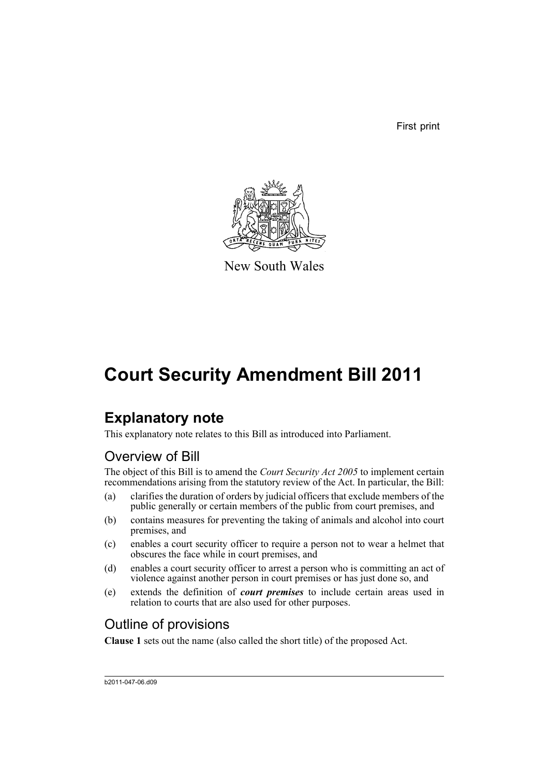First print



New South Wales

# **Court Security Amendment Bill 2011**

## **Explanatory note**

This explanatory note relates to this Bill as introduced into Parliament.

### Overview of Bill

The object of this Bill is to amend the *Court Security Act 2005* to implement certain recommendations arising from the statutory review of the Act. In particular, the Bill:

- (a) clarifies the duration of orders by judicial officers that exclude members of the public generally or certain members of the public from court premises, and
- (b) contains measures for preventing the taking of animals and alcohol into court premises, and
- (c) enables a court security officer to require a person not to wear a helmet that obscures the face while in court premises, and
- (d) enables a court security officer to arrest a person who is committing an act of violence against another person in court premises or has just done so, and
- (e) extends the definition of *court premises* to include certain areas used in relation to courts that are also used for other purposes.

### Outline of provisions

**Clause 1** sets out the name (also called the short title) of the proposed Act.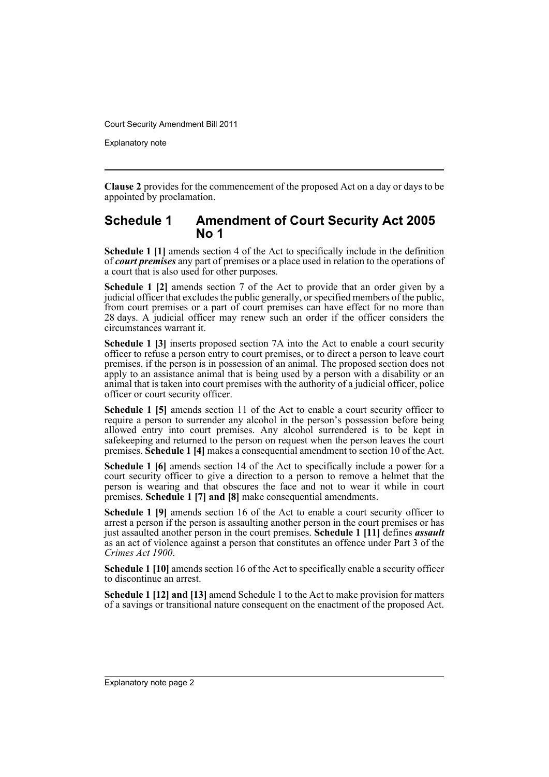Explanatory note

**Clause 2** provides for the commencement of the proposed Act on a day or days to be appointed by proclamation.

#### **Schedule 1 Amendment of Court Security Act 2005 No 1**

**Schedule 1 [1]** amends section 4 of the Act to specifically include in the definition of *court premises* any part of premises or a place used in relation to the operations of a court that is also used for other purposes.

**Schedule 1 [2]** amends section 7 of the Act to provide that an order given by a judicial officer that excludes the public generally, or specified members of the public, from court premises or a part of court premises can have effect for no more than 28 days. A judicial officer may renew such an order if the officer considers the circumstances warrant it.

**Schedule 1 [3]** inserts proposed section 7A into the Act to enable a court security officer to refuse a person entry to court premises, or to direct a person to leave court premises, if the person is in possession of an animal. The proposed section does not apply to an assistance animal that is being used by a person with a disability or an animal that is taken into court premises with the authority of a judicial officer, police officer or court security officer.

**Schedule 1 [5]** amends section 11 of the Act to enable a court security officer to require a person to surrender any alcohol in the person's possession before being allowed entry into court premises. Any alcohol surrendered is to be kept in safekeeping and returned to the person on request when the person leaves the court premises. **Schedule 1 [4]** makes a consequential amendment to section 10 of the Act.

**Schedule 1 [6]** amends section 14 of the Act to specifically include a power for a court security officer to give a direction to a person to remove a helmet that the person is wearing and that obscures the face and not to wear it while in court premises. **Schedule 1 [7] and [8]** make consequential amendments.

**Schedule 1 [9]** amends section 16 of the Act to enable a court security officer to arrest a person if the person is assaulting another person in the court premises or has just assaulted another person in the court premises. **Schedule 1 [11]** defines *assault* as an act of violence against a person that constitutes an offence under Part 3 of the *Crimes Act 1900*.

**Schedule 1 [10]** amends section 16 of the Act to specifically enable a security officer to discontinue an arrest.

**Schedule 1 [12] and [13]** amend Schedule 1 to the Act to make provision for matters of a savings or transitional nature consequent on the enactment of the proposed Act.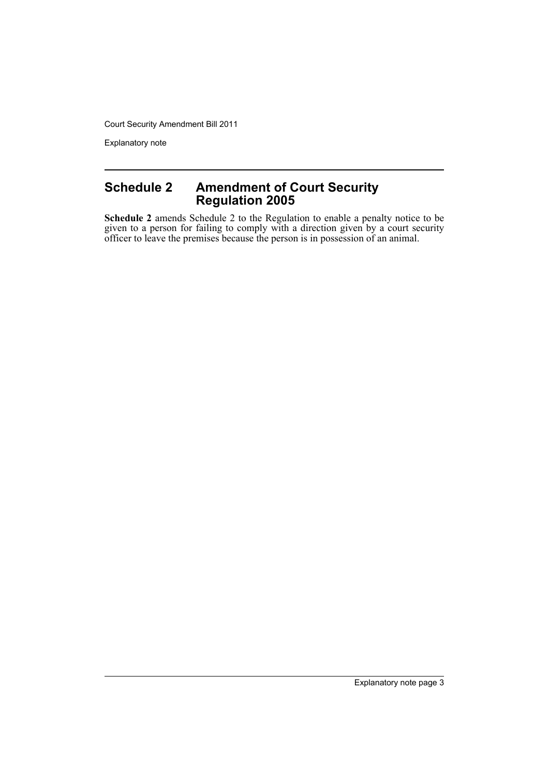Explanatory note

### **Schedule 2 Amendment of Court Security Regulation 2005**

**Schedule 2** amends Schedule 2 to the Regulation to enable a penalty notice to be given to a person for failing to comply with a direction given by a court security officer to leave the premises because the person is in possession of an animal.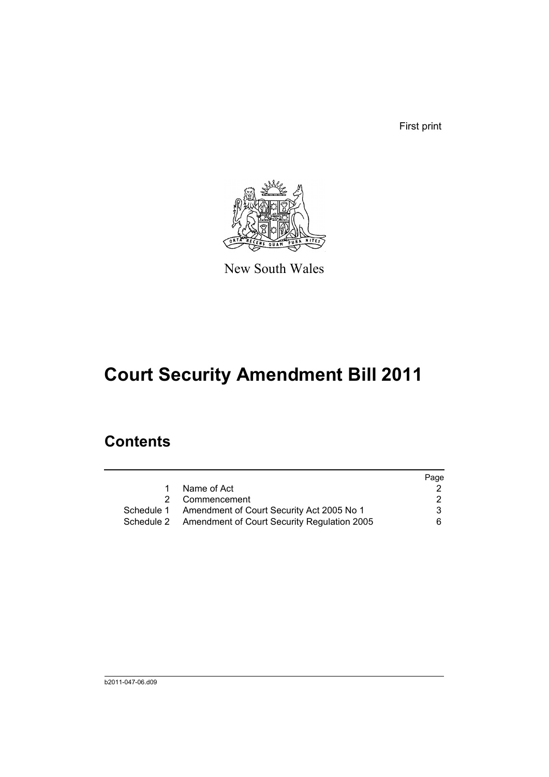First print



New South Wales

# **Court Security Amendment Bill 2011**

### **Contents**

|                                                        | Page |
|--------------------------------------------------------|------|
| Name of Act                                            |      |
| Commencement<br>2                                      | 2    |
| Schedule 1 Amendment of Court Security Act 2005 No 1   | 3    |
| Schedule 2 Amendment of Court Security Regulation 2005 | 6.   |
|                                                        |      |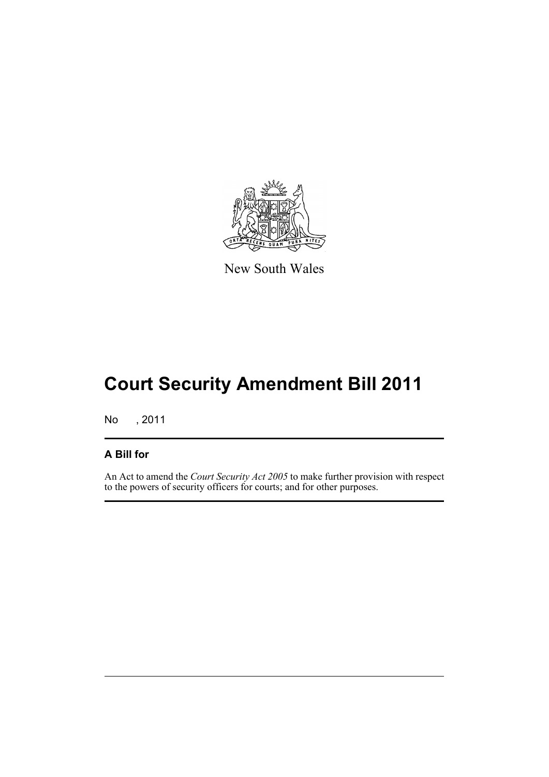

New South Wales

# **Court Security Amendment Bill 2011**

No , 2011

#### **A Bill for**

An Act to amend the *Court Security Act 2005* to make further provision with respect to the powers of security officers for courts; and for other purposes.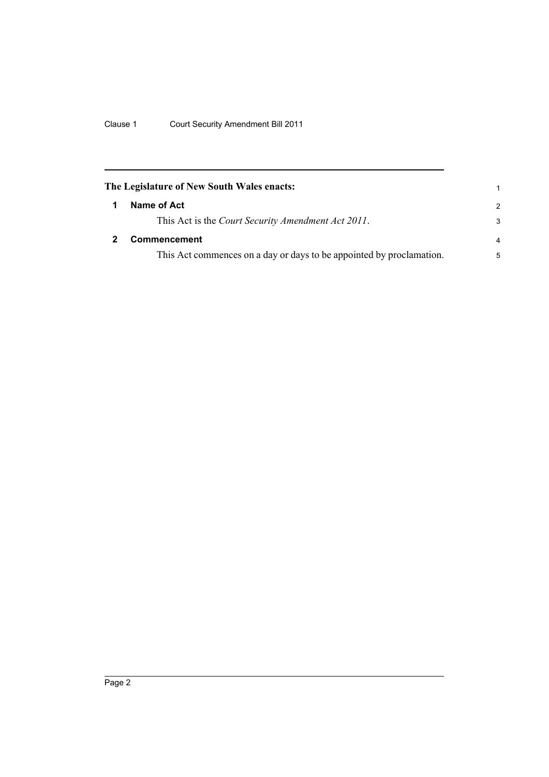<span id="page-7-1"></span><span id="page-7-0"></span>

| The Legislature of New South Wales enacts:                           | 1              |
|----------------------------------------------------------------------|----------------|
| Name of Act                                                          | $\mathcal{P}$  |
| This Act is the Court Security Amendment Act 2011.                   | 3              |
| <b>Commencement</b>                                                  | $\overline{a}$ |
| This Act commences on a day or days to be appointed by proclamation. | 5              |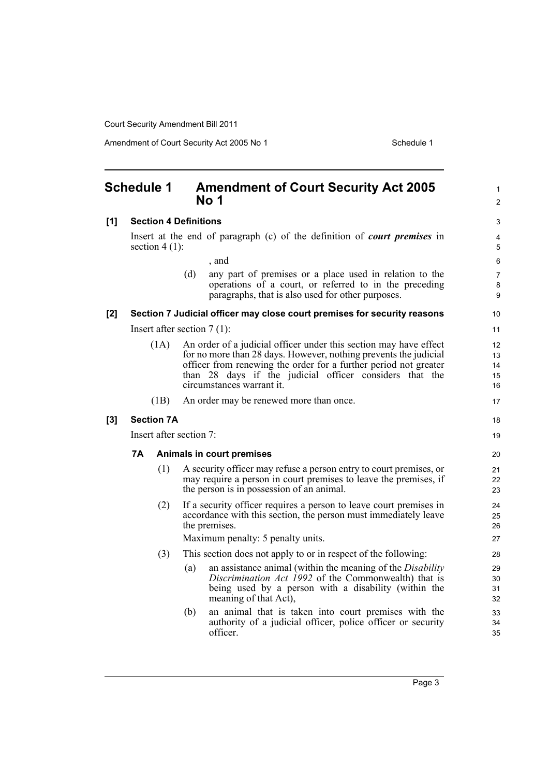Amendment of Court Security Act 2005 No 1 Schedule 1

<span id="page-8-0"></span>

| <b>Schedule 1</b> |                         |                              |                                                                                                      | <b>Amendment of Court Security Act 2005</b><br>No 1                                                                                                                                                                                                                                               | $\mathbf{1}$<br>$\overline{2}$ |
|-------------------|-------------------------|------------------------------|------------------------------------------------------------------------------------------------------|---------------------------------------------------------------------------------------------------------------------------------------------------------------------------------------------------------------------------------------------------------------------------------------------------|--------------------------------|
| [1]               |                         | <b>Section 4 Definitions</b> |                                                                                                      |                                                                                                                                                                                                                                                                                                   | 3                              |
|                   |                         |                              | Insert at the end of paragraph (c) of the definition of <i>court premises</i> in<br>section $4(1)$ : |                                                                                                                                                                                                                                                                                                   | 4<br>5                         |
|                   |                         |                              |                                                                                                      | , and                                                                                                                                                                                                                                                                                             | 6                              |
|                   |                         |                              | (d)                                                                                                  | any part of premises or a place used in relation to the<br>operations of a court, or referred to in the preceding<br>paragraphs, that is also used for other purposes.                                                                                                                            | $\overline{7}$<br>8<br>9       |
| [2]               |                         |                              |                                                                                                      | Section 7 Judicial officer may close court premises for security reasons                                                                                                                                                                                                                          | 10                             |
|                   |                         |                              |                                                                                                      | Insert after section $7(1)$ :                                                                                                                                                                                                                                                                     | 11                             |
|                   |                         | (1A)                         |                                                                                                      | An order of a judicial officer under this section may have effect<br>for no more than 28 days. However, nothing prevents the judicial<br>officer from renewing the order for a further period not greater<br>than 28 days if the judicial officer considers that the<br>circumstances warrant it. | 12<br>13<br>14<br>15<br>16     |
|                   |                         | (1B)                         |                                                                                                      | An order may be renewed more than once.                                                                                                                                                                                                                                                           | 17                             |
| [3]               |                         | <b>Section 7A</b>            |                                                                                                      |                                                                                                                                                                                                                                                                                                   | 18                             |
|                   | Insert after section 7: |                              |                                                                                                      |                                                                                                                                                                                                                                                                                                   | 19                             |
|                   | 7Α                      |                              |                                                                                                      | Animals in court premises                                                                                                                                                                                                                                                                         | 20                             |
|                   |                         | (1)                          |                                                                                                      | A security officer may refuse a person entry to court premises, or<br>may require a person in court premises to leave the premises, if<br>the person is in possession of an animal.                                                                                                               | 21<br>22<br>23                 |
|                   |                         | (2)                          |                                                                                                      | If a security officer requires a person to leave court premises in<br>accordance with this section, the person must immediately leave<br>the premises.                                                                                                                                            | 24<br>25<br>26                 |
|                   |                         |                              |                                                                                                      | Maximum penalty: 5 penalty units.                                                                                                                                                                                                                                                                 | 27                             |
|                   |                         | (3)                          |                                                                                                      | This section does not apply to or in respect of the following:                                                                                                                                                                                                                                    | 28                             |
|                   |                         |                              | (a)                                                                                                  | an assistance animal (within the meaning of the Disability<br>Discrimination Act 1992 of the Commonwealth) that is<br>being used by a person with a disability (within the<br>meaning of that Act),                                                                                               | 29<br>30<br>31<br>32           |
|                   |                         |                              | (b)                                                                                                  | an animal that is taken into court premises with the<br>authority of a judicial officer, police officer or security<br>officer.                                                                                                                                                                   | 33<br>34<br>35                 |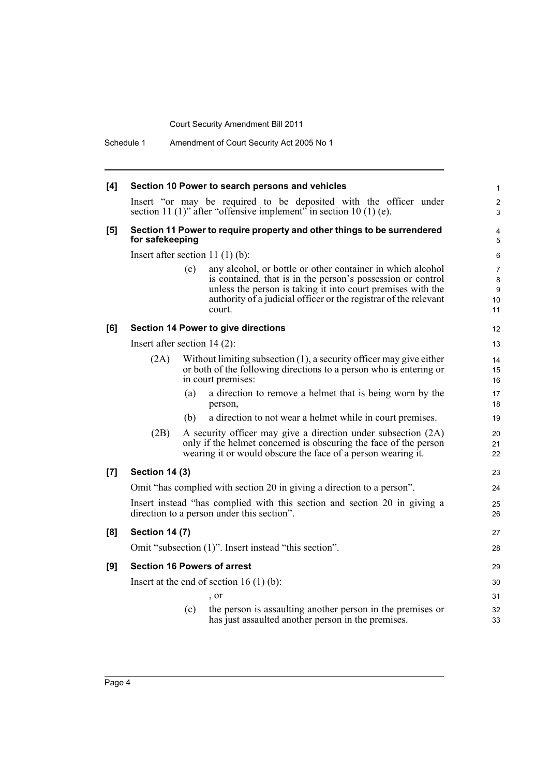Schedule 1 Amendment of Court Security Act 2005 No 1

| [4] |                                                                                                                         |     | Section 10 Power to search persons and vehicles                                                                                                                                                                                                                        | 1                            |  |
|-----|-------------------------------------------------------------------------------------------------------------------------|-----|------------------------------------------------------------------------------------------------------------------------------------------------------------------------------------------------------------------------------------------------------------------------|------------------------------|--|
|     |                                                                                                                         |     | Insert "or may be required to be deposited with the officer under<br>section 11 (1)" after "offensive implement" in section 10 (1) (e).                                                                                                                                | $\overline{\mathbf{c}}$<br>3 |  |
| [5] | Section 11 Power to require property and other things to be surrendered<br>for safekeeping                              |     |                                                                                                                                                                                                                                                                        | 4<br>5                       |  |
|     |                                                                                                                         |     | Insert after section 11 $(1)$ $(b)$ :                                                                                                                                                                                                                                  | 6                            |  |
|     |                                                                                                                         | (c) | any alcohol, or bottle or other container in which alcohol<br>is contained, that is in the person's possession or control<br>unless the person is taking it into court premises with the<br>authority of a judicial officer or the registrar of the relevant<br>court. | 7<br>8<br>9<br>10<br>11      |  |
| [6] | <b>Section 14 Power to give directions</b>                                                                              |     |                                                                                                                                                                                                                                                                        |                              |  |
|     | Insert after section $14(2)$ :                                                                                          |     |                                                                                                                                                                                                                                                                        | 13                           |  |
|     | (2A)                                                                                                                    |     | Without limiting subsection $(1)$ , a security officer may give either<br>or both of the following directions to a person who is entering or<br>in court premises:                                                                                                     | 14<br>15<br>16               |  |
|     |                                                                                                                         | (a) | a direction to remove a helmet that is being worn by the<br>person.                                                                                                                                                                                                    | 17<br>18                     |  |
|     |                                                                                                                         | (b) | a direction to not wear a helmet while in court premises.                                                                                                                                                                                                              | 19                           |  |
|     | (2B)                                                                                                                    |     | A security officer may give a direction under subsection (2A)<br>only if the helmet concerned is obscuring the face of the person<br>wearing it or would obscure the face of a person wearing it.                                                                      | 20<br>21<br>22               |  |
| [7] | <b>Section 14 (3)</b>                                                                                                   |     |                                                                                                                                                                                                                                                                        | 23                           |  |
|     | Omit "has complied with section 20 in giving a direction to a person".                                                  |     |                                                                                                                                                                                                                                                                        |                              |  |
|     | Insert instead "has complied with this section and section 20 in giving a<br>direction to a person under this section". |     |                                                                                                                                                                                                                                                                        |                              |  |
| [8] | <b>Section 14 (7)</b>                                                                                                   |     |                                                                                                                                                                                                                                                                        | 27                           |  |
|     | Omit "subsection (1)". Insert instead "this section".                                                                   |     |                                                                                                                                                                                                                                                                        |                              |  |
| [9] | <b>Section 16 Powers of arrest</b>                                                                                      |     |                                                                                                                                                                                                                                                                        |                              |  |
|     |                                                                                                                         |     | Insert at the end of section $16(1)(b)$ :                                                                                                                                                                                                                              | 30                           |  |
|     |                                                                                                                         |     | , or                                                                                                                                                                                                                                                                   | 31                           |  |
|     |                                                                                                                         | (c) | the person is assaulting another person in the premises or<br>has just assaulted another person in the premises.                                                                                                                                                       | 32<br>33                     |  |
|     |                                                                                                                         |     |                                                                                                                                                                                                                                                                        |                              |  |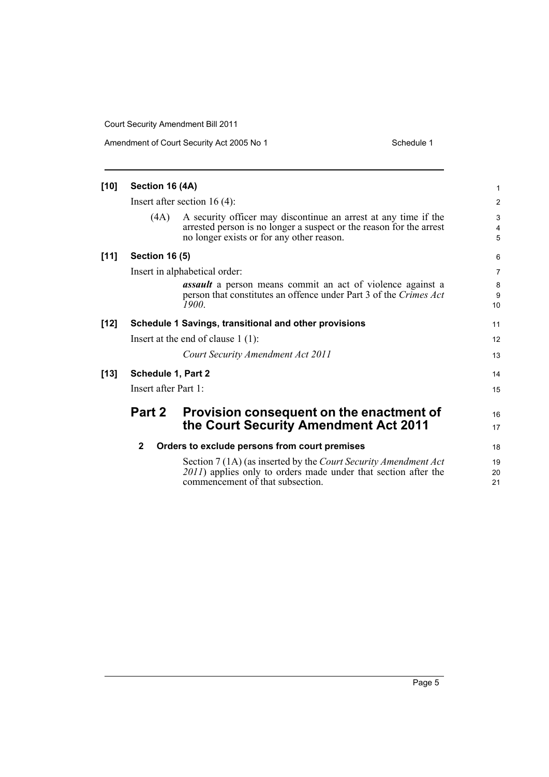Amendment of Court Security Act 2005 No 1 Schedule 1

| $[10]$ | Section 16 (4A)                      |                                                                                                                                                                                     | 1                     |  |  |  |
|--------|--------------------------------------|-------------------------------------------------------------------------------------------------------------------------------------------------------------------------------------|-----------------------|--|--|--|
|        | Insert after section $16(4)$ :       |                                                                                                                                                                                     |                       |  |  |  |
|        | (4A)                                 | A security officer may discontinue an arrest at any time if the<br>arrested person is no longer a suspect or the reason for the arrest<br>no longer exists or for any other reason. | $\mathsf 3$<br>4<br>5 |  |  |  |
| $[11]$ | <b>Section 16 (5)</b>                |                                                                                                                                                                                     |                       |  |  |  |
|        | Insert in alphabetical order:        |                                                                                                                                                                                     |                       |  |  |  |
|        |                                      | <b>assault</b> a person means commit an act of violence against a<br>person that constitutes an offence under Part 3 of the Crimes Act<br>1900.                                     | 8<br>9<br>10          |  |  |  |
| $[12]$ |                                      | Schedule 1 Savings, transitional and other provisions                                                                                                                               | 11                    |  |  |  |
|        | Insert at the end of clause $1(1)$ : |                                                                                                                                                                                     |                       |  |  |  |
|        |                                      | Court Security Amendment Act 2011                                                                                                                                                   | 13                    |  |  |  |
| $[13]$ | <b>Schedule 1, Part 2</b>            |                                                                                                                                                                                     |                       |  |  |  |
|        | Insert after Part 1:                 |                                                                                                                                                                                     |                       |  |  |  |
|        | Part 2                               | Provision consequent on the enactment of<br>the Court Security Amendment Act 2011                                                                                                   | 16<br>17              |  |  |  |
|        | $\mathbf{2}$                         | Orders to exclude persons from court premises                                                                                                                                       | 18                    |  |  |  |
|        |                                      | Section 7 (1A) (as inserted by the Court Security Amendment Act<br>2011) applies only to orders made under that section after the<br>commencement of that subsection.               | 19<br>20<br>21        |  |  |  |